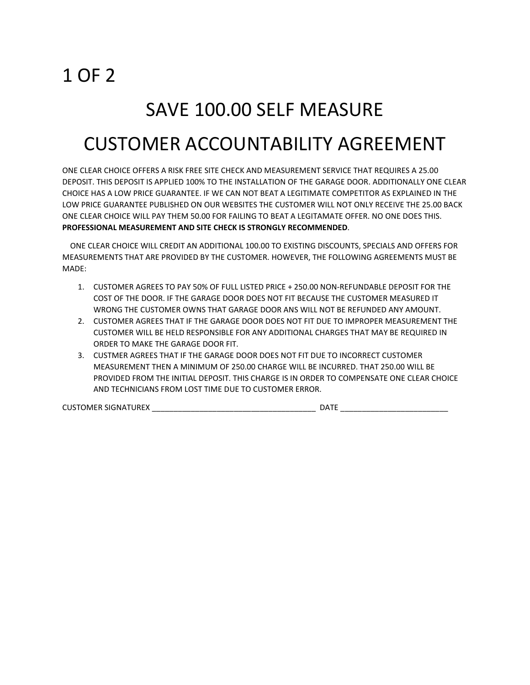## 1 OF 2

### SAVE 100.00 SELF MEASURE

## CUSTOMER ACCOUNTABILITY AGREEMENT

ONE CLEAR CHOICE OFFERS A RISK FREE SITE CHECK AND MEASUREMENT SERVICE THAT REQUIRES A 25.00 DEPOSIT. THIS DEPOSIT IS APPLIED 100% TO THE INSTALLATION OF THE GARAGE DOOR. ADDITIONALLY ONE CLEAR CHOICE HAS A LOW PRICE GUARANTEE. IF WE CAN NOT BEAT A LEGITIMATE COMPETITOR AS EXPLAINED IN THE LOW PRICE GUARANTEE PUBLISHED ON OUR WEBSITES THE CUSTOMER WILL NOT ONLY RECEIVE THE 25.00 BACK ONE CLEAR CHOICE WILL PAY THEM 50.00 FOR FAILING TO BEAT A LEGITAMATE OFFER. NO ONE DOES THIS. **PROFESSIONAL MEASUREMENT AND SITE CHECK IS STRONGLY RECOMMENDED**.

 ONE CLEAR CHOICE WILL CREDIT AN ADDITIONAL 100.00 TO EXISTING DISCOUNTS, SPECIALS AND OFFERS FOR MEASUREMENTS THAT ARE PROVIDED BY THE CUSTOMER. HOWEVER, THE FOLLOWING AGREEMENTS MUST BE MADE:

- 1. CUSTOMER AGREES TO PAY 50% OF FULL LISTED PRICE + 250.00 NON-REFUNDABLE DEPOSIT FOR THE COST OF THE DOOR. IF THE GARAGE DOOR DOES NOT FIT BECAUSE THE CUSTOMER MEASURED IT WRONG THE CUSTOMER OWNS THAT GARAGE DOOR ANS WILL NOT BE REFUNDED ANY AMOUNT.
- 2. CUSTOMER AGREES THAT IF THE GARAGE DOOR DOES NOT FIT DUE TO IMPROPER MEASUREMENT THE CUSTOMER WILL BE HELD RESPONSIBLE FOR ANY ADDITIONAL CHARGES THAT MAY BE REQUIRED IN ORDER TO MAKE THE GARAGE DOOR FIT.
- 3. CUSTMER AGREES THAT IF THE GARAGE DOOR DOES NOT FIT DUE TO INCORRECT CUSTOMER MEASUREMENT THEN A MINIMUM OF 250.00 CHARGE WILL BE INCURRED. THAT 250.00 WILL BE PROVIDED FROM THE INITIAL DEPOSIT. THIS CHARGE IS IN ORDER TO COMPENSATE ONE CLEAR CHOICE AND TECHNICIANS FROM LOST TIME DUE TO CUSTOMER ERROR.

CUSTOMER SIGNATUREX \_\_\_\_\_\_\_\_\_\_\_\_\_\_\_\_\_\_\_\_\_\_\_\_\_\_\_\_\_\_\_\_\_\_\_\_\_\_ DATE \_\_\_\_\_\_\_\_\_\_\_\_\_\_\_\_\_\_\_\_\_\_\_\_\_